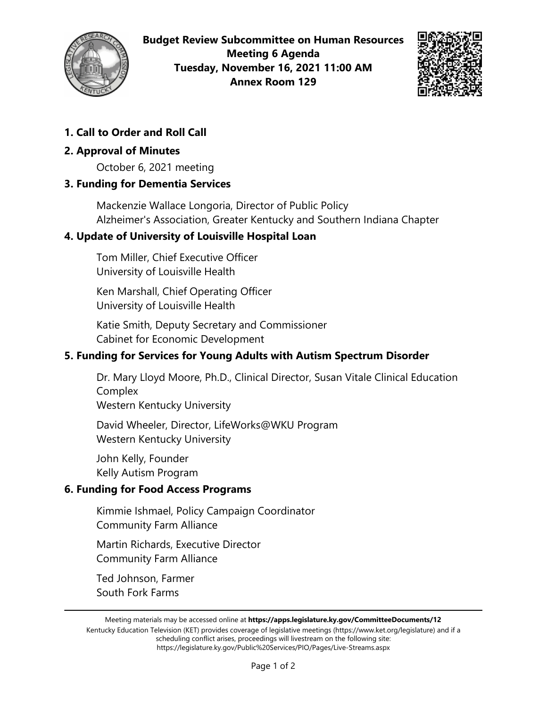

**Budget Review Subcommittee on Human Resources Meeting 6 Agenda Tuesday, November 16, 2021 11:00 AM Annex Room 129**



# **1. Call to Order and Roll Call**

## **2. Approval of Minutes**

October 6, 2021 meeting

### **3. Funding for Dementia Services**

Mackenzie Wallace Longoria, Director of Public Policy Alzheimer's Association, Greater Kentucky and Southern Indiana Chapter

### **4. Update of University of Louisville Hospital Loan**

Tom Miller, Chief Executive Officer University of Louisville Health

Ken Marshall, Chief Operating Officer University of Louisville Health

Katie Smith, Deputy Secretary and Commissioner Cabinet for Economic Development

## **5. Funding for Services for Young Adults with Autism Spectrum Disorder**

Dr. Mary Lloyd Moore, Ph.D., Clinical Director, Susan Vitale Clinical Education Complex

Western Kentucky University

David Wheeler, Director, LifeWorks@WKU Program Western Kentucky University

John Kelly, Founder Kelly Autism Program

### **6. Funding for Food Access Programs**

Kimmie Ishmael, Policy Campaign Coordinator Community Farm Alliance

Martin Richards, Executive Director Community Farm Alliance

Ted Johnson, Farmer South Fork Farms

Kentucky Education Television (KET) provides coverage of legislative meetings (https://www.ket.org/legislature) and if a scheduling conflict arises, proceedings will livestream on the following site: https://legislature.ky.gov/Public%20Services/PIO/Pages/Live-Streams.aspx

Meeting materials may be accessed online at **https://apps.legislature.ky.gov/CommitteeDocuments/12**